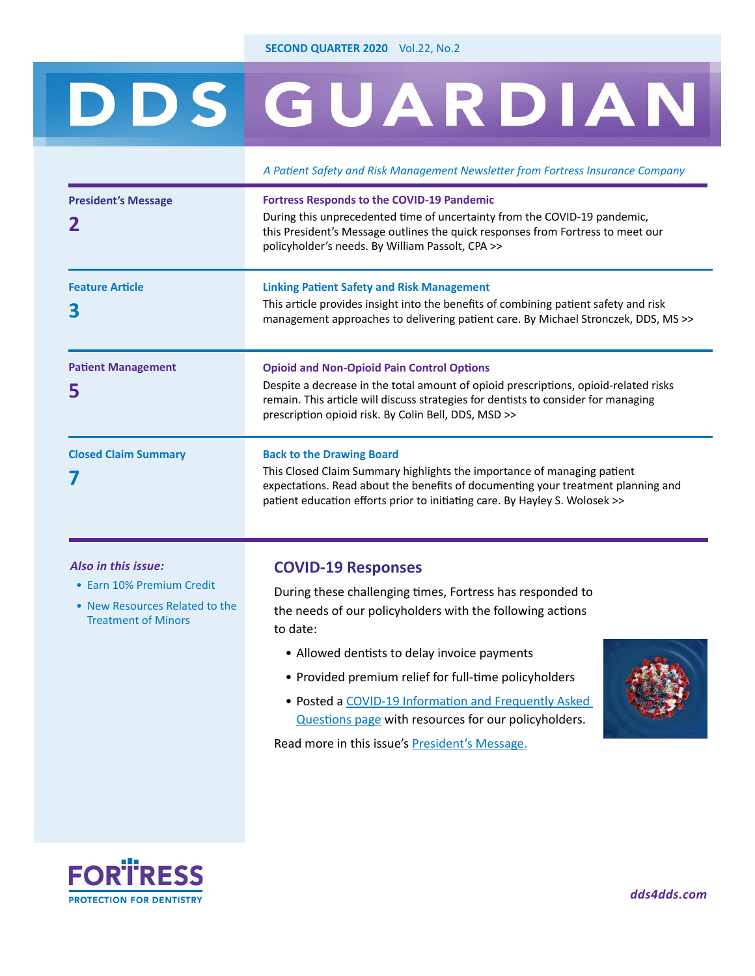# <span id="page-0-0"></span>DDS GUARDIAN

|                             | A Patient Safety and Risk Management Newsletter from Fortress Insurance Company                                                                                                                                                                                                         |
|-----------------------------|-----------------------------------------------------------------------------------------------------------------------------------------------------------------------------------------------------------------------------------------------------------------------------------------|
| <b>President's Message</b>  | <b>Fortress Responds to the COVID-19 Pandemic</b><br>During this unprecedented time of uncertainty from the COVID-19 pandemic,<br>this President's Message outlines the quick responses from Fortress to meet our<br>policyholder's needs. By William Passolt, CPA >>                   |
| <b>Feature Article</b><br>3 | <b>Linking Patient Safety and Risk Management</b><br>This article provides insight into the benefits of combining patient safety and risk<br>management approaches to delivering patient care. By Michael Stronczek, DDS, MS >>                                                         |
| <b>Patient Management</b>   | <b>Opioid and Non-Opioid Pain Control Options</b><br>Despite a decrease in the total amount of opioid prescriptions, opioid-related risks<br>remain. This article will discuss strategies for dentists to consider for managing<br>prescription opioid risk. By Colin Bell, DDS, MSD >> |
| <b>Closed Claim Summary</b> | <b>Back to the Drawing Board</b><br>This Closed Claim Summary highlights the importance of managing patient<br>expectations. Read about the benefits of documenting your treatment planning and<br>patient education efforts prior to initiating care. By Hayley S. Wolosek >>          |

#### *Also in this issue:*

- [Earn 10% Premium Credit](#page-7-0)
- [New Resources](#page-3-0) Related to the Treatment of Minors

#### **[COVID-19 Responses](#page-1-0)**

During these challenging times, Fortress has responded to the needs of our policyholders with the following actions to date:

- Allowed dentists to delay invoice payments
- Provided premium relief for full-time policyholders
- Posted a [COVID-19 Information and Frequently Asked](https://www.dds4dds.com/covid19)  [Questions page](https://www.dds4dds.com/covid19) with resources for our policyholders.



Read more in this issue's [President's Message](#page-1-0).

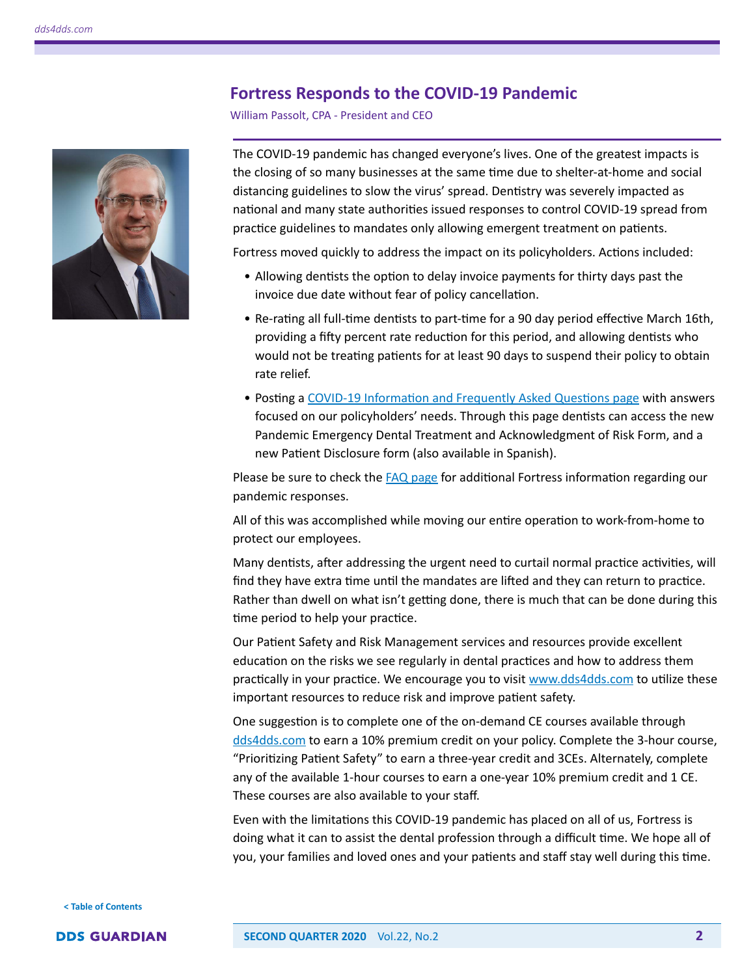### **Fortress Responds to the COVID-19 Pandemic**

William Passolt, CPA - President and CEO

<span id="page-1-0"></span>

The COVID-19 pandemic has changed everyone's lives. One of the greatest impacts is the closing of so many businesses at the same time due to shelter-at-home and social distancing guidelines to slow the virus' spread. Dentistry was severely impacted as national and many state authorities issued responses to control COVID-19 spread from practice guidelines to mandates only allowing emergent treatment on patients.

Fortress moved quickly to address the impact on its policyholders. Actions included:

- Allowing dentists the option to delay invoice payments for thirty days past the invoice due date without fear of policy cancellation.
- Re-rating all full-time dentists to part-time for a 90 day period effective March 16th, providing a fifty percent rate reduction for this period, and allowing dentists who would not be treating patients for at least 90 days to suspend their policy to obtain rate relief.
- Posting a [COVID-19 Information and Frequently Asked Questions page](https://www.dds4dds.com/covid19) with answers focused on our policyholders' needs. Through this page dentists can access the new Pandemic Emergency Dental Treatment and Acknowledgment of Risk Form, and a new Patient Disclosure form (also available in Spanish).

Please be sure to check the [FAQ page](https://www.dds4dds.com/covid19) for additional Fortress information regarding our pandemic responses.

All of this was accomplished while moving our entire operation to work-from-home to protect our employees.

Many dentists, after addressing the urgent need to curtail normal practice activities, will find they have extra time until the mandates are lifted and they can return to practice. Rather than dwell on what isn't getting done, there is much that can be done during this time period to help your practice.

Our Patient Safety and Risk Management services and resources provide excellent education on the risks we see regularly in dental practices and how to address them practically in your practice. We encourage you to visit [www.dds4dds.com](http://www.dds4dds.com) to utilize these important resources to reduce risk and improve patient safety.

One suggestion is to complete one of the on-demand CE courses available through [dds4dds.com](https://www.dds4dds.com/home) to earn a 10% premium credit on your policy. Complete the 3-hour course, "Prioritizing Patient Safety" to earn a three-year credit and 3CEs. Alternately, complete any of the available 1-hour courses to earn a one-year 10% premium credit and 1 CE. These courses are also available to your staff.

Even with the limitations this COVID-19 pandemic has placed on all of us, Fortress is doing what it can to assist the dental profession through a difficult time. We hope all of you, your families and loved ones and your patients and staff stay well during this time.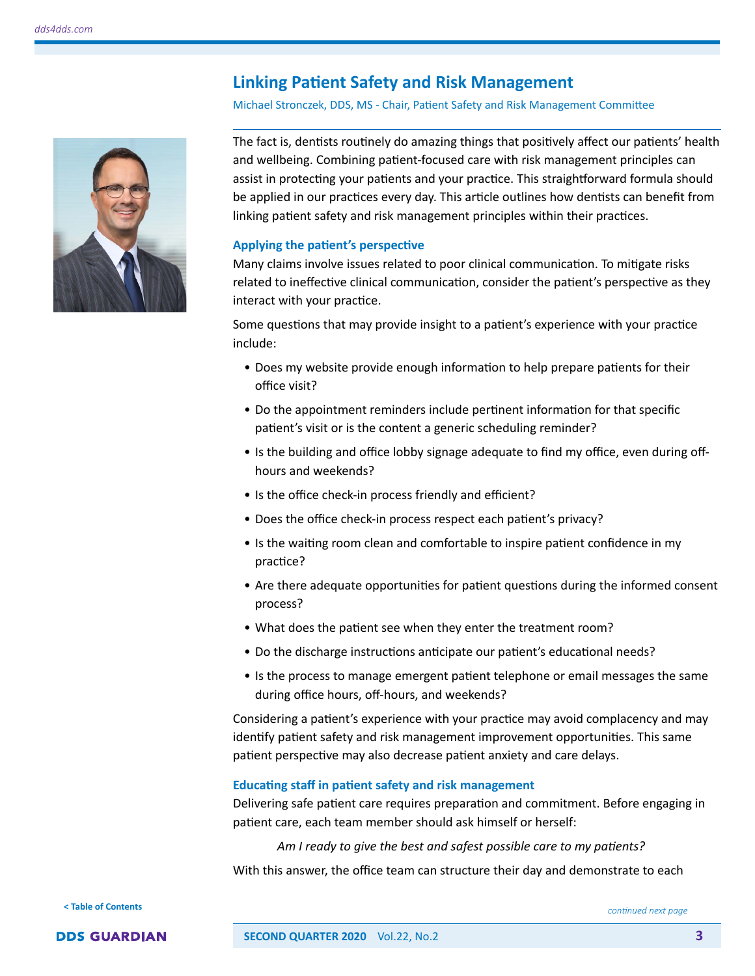# **Linking Patient Safety and Risk Management**

#### Michael Stronczek, DDS, MS - Chair, Patient Safety and Risk Management Committee

<span id="page-2-0"></span>

The fact is, dentists routinely do amazing things that positively affect our patients' health and wellbeing. Combining patient-focused care with risk management principles can assist in protecting your patients and your practice. This straightforward formula should be applied in our practices every day. This article outlines how dentists can benefit from linking patient safety and risk management principles within their practices.

#### **Applying the patient's perspective**

Many claims involve issues related to poor clinical communication. To mitigate risks related to ineffective clinical communication, consider the patient's perspective as they interact with your practice.

Some questions that may provide insight to a patient's experience with your practice include:

- Does my website provide enough information to help prepare patients for their office visit?
- Do the appointment reminders include pertinent information for that specific patient's visit or is the content a generic scheduling reminder?
- Is the building and office lobby signage adequate to find my office, even during offhours and weekends?
- Is the office check-in process friendly and efficient?
- Does the office check-in process respect each patient's privacy?
- Is the waiting room clean and comfortable to inspire patient confidence in my practice?
- Are there adequate opportunities for patient questions during the informed consent process?
- What does the patient see when they enter the treatment room?
- Do the discharge instructions anticipate our patient's educational needs?
- Is the process to manage emergent patient telephone or email messages the same during office hours, off-hours, and weekends?

Considering a patient's experience with your practice may avoid complacency and may identify patient safety and risk management improvement opportunities. This same patient perspective may also decrease patient anxiety and care delays.

#### **Educating staff in patient safety and risk management**

Delivering safe patient care requires preparation and commitment. Before engaging in patient care, each team member should ask himself or herself:

*Am I ready to give the best and safest possible care to my patients?*

With this answer, the office team can structure their day and demonstrate to each

**[< Table of Contents](#page-0-0)**

*continued next page*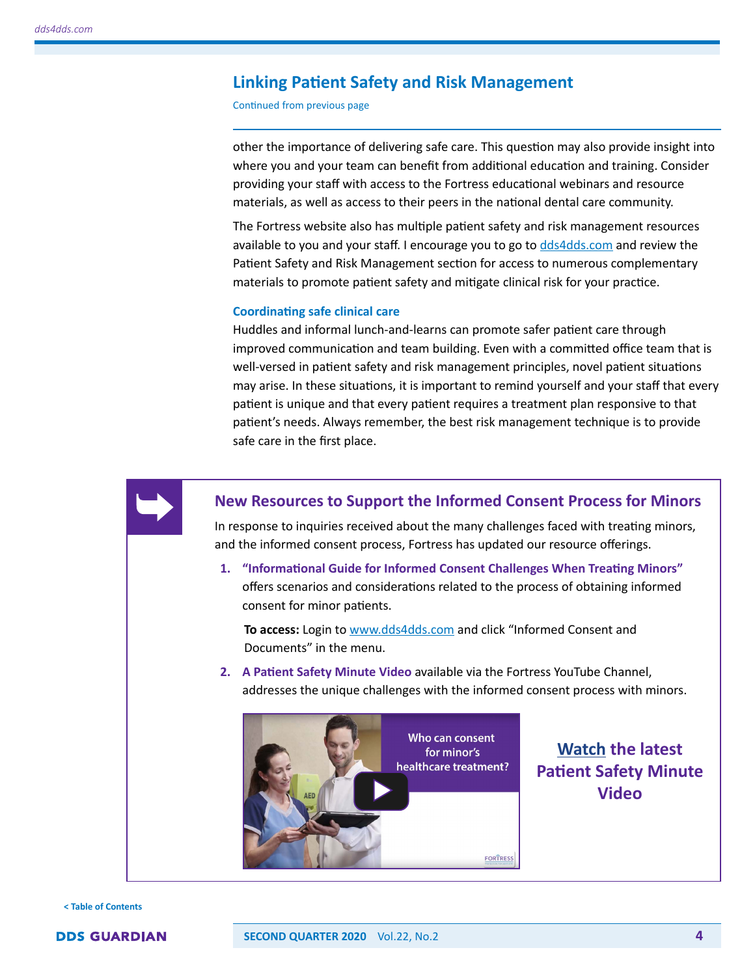#### <span id="page-3-0"></span>**Linking Patient Safety and Risk Management**

Continued from previous page

other the importance of delivering safe care. This question may also provide insight into where you and your team can benefit from additional education and training. Consider providing your staff with access to the Fortress educational webinars and resource materials, as well as access to their peers in the national dental care community.

The Fortress website also has multiple patient safety and risk management resources available to you and your staff. I encourage you to go to [dds4dds.com](https://www.dds4dds.com/home) and review the Patient Safety and Risk Management section for access to numerous complementary materials to promote patient safety and mitigate clinical risk for your practice.

#### **Coordinating safe clinical care**

Huddles and informal lunch-and-learns can promote safer patient care through improved communication and team building. Even with a committed office team that is well-versed in patient safety and risk management principles, novel patient situations may arise. In these situations, it is important to remind yourself and your staff that every patient is unique and that every patient requires a treatment plan responsive to that patient's needs. Always remember, the best risk management technique is to provide safe care in the first place.



#### **New Resources to Support the Informed Consent Process for Minors**

In response to inquiries received about the many challenges faced with treating minors, and the informed consent process, Fortress has updated our resource offerings.

**1. "Informational Guide for Informed Consent Challenges When Treating Minors"** offers scenarios and considerations related to the process of obtaining informed consent for minor patients.

 **To access:** Login to [www.dds4dds.com](https://www.dds4dds.com/home) and click "Informed Consent and Documents" in the menu.

**2. A Patient Safety Minute Video** available via the Fortress YouTube Channel, addresses the unique challenges with the informed consent process with minors.



**[Watch](https://www.youtube.com/watch?v=QpVyVOua1zY) the latest Patient Safety Minute Video**

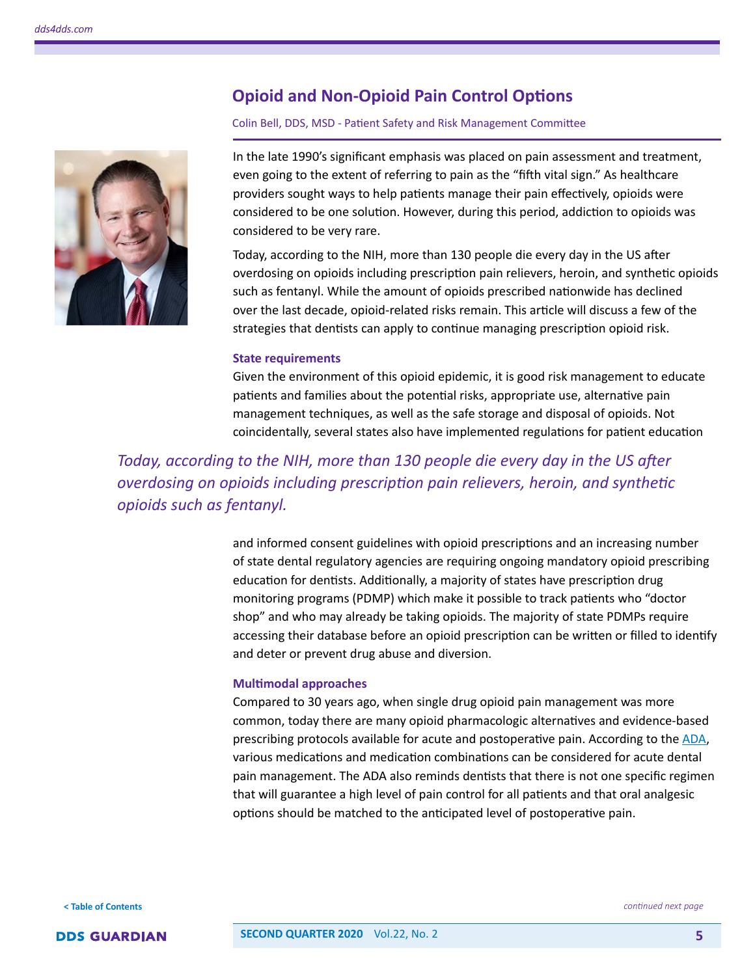<span id="page-4-0"></span>

# **Opioid and Non-Opioid Pain Control Options**

#### Colin Bell, DDS, MSD - Patient Safety and Risk Management Committee

In the late 1990's significant emphasis was placed on pain assessment and treatment, even going to the extent of referring to pain as the "fifth vital sign." As healthcare providers sought ways to help patients manage their pain effectively, opioids were considered to be one solution. However, during this period, addiction to opioids was considered to be very rare.

Today, according to the NIH, more than 130 people die every day in the US after overdosing on opioids including prescription pain relievers, heroin, and synthetic opioids such as fentanyl. While the amount of opioids prescribed nationwide has declined over the last decade, opioid-related risks remain. This article will discuss a few of the strategies that dentists can apply to continue managing prescription opioid risk.

#### **State requirements**

Given the environment of this opioid epidemic, it is good risk management to educate patients and families about the potential risks, appropriate use, alternative pain management techniques, as well as the safe storage and disposal of opioids. Not coincidentally, several states also have implemented regulations for patient education

*Today, according to the NIH, more than 130 people die every day in the US after overdosing on opioids including prescription pain relievers, heroin, and synthetic opioids such as fentanyl.* 

> and informed consent guidelines with opioid prescriptions and an increasing number of state dental regulatory agencies are requiring ongoing mandatory opioid prescribing education for dentists. Additionally, a majority of states have prescription drug monitoring programs (PDMP) which make it possible to track patients who "doctor shop" and who may already be taking opioids. The majority of state PDMPs require accessing their database before an opioid prescription can be written or filled to identify and deter or prevent drug abuse and diversion.

#### **Multimodal approaches**

Compared to 30 years ago, when single drug opioid pain management was more common, today there are many opioid pharmacologic alternatives and evidence-based prescribing protocols available for acute and postoperative pain. According to the [ADA](https://www.ada.org/en/member-center/oral-health-topics/oral-analgesics-for-acute-dental-pain), various medications and medication combinations can be considered for acute dental pain management. The ADA also reminds dentists that there is not one specific regimen that will guarantee a high level of pain control for all patients and that oral analgesic options should be matched to the anticipated level of postoperative pain.

**[< Table of Contents](#page-0-0)**



*continued next page*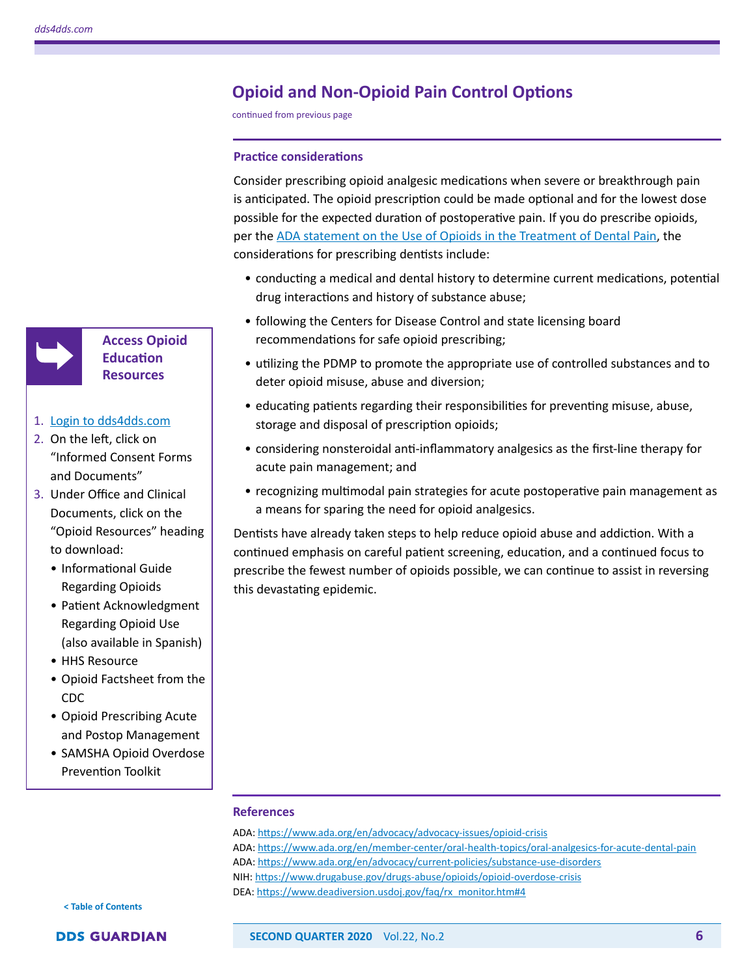

**Access Opioid Education Resources**

#### 1. [Login to dds4dds.com](https://www.dds4dds.com/home)

- 2. On the left, click on "Informed Consent Forms and Documents"
- 3. Under Office and Clinical Documents, click on the "Opioid Resources" heading to download:
	- Informational Guide Regarding Opioids
	- Patient Acknowledgment Regarding Opioid Use (also available in Spanish)
	- HHS Resource
	- Opioid Factsheet from the CDC
	- Opioid Prescribing Acute and Postop Management
	- SAMSHA Opioid Overdose Prevention Toolkit

# **Opioid and Non-Opioid Pain Control Options**

continued from previous page

#### **Practice considerations**

Consider prescribing opioid analgesic medications when severe or breakthrough pain is anticipated. The opioid prescription could be made optional and for the lowest dose possible for the expected duration of postoperative pain. If you do prescribe opioids, per the [ADA statement on the Use of Opioids in the Treatment of Dental Pain](https://www.ada.org/en/advocacy/current-policies/substance-use-disorders), the considerations for prescribing dentists include:

- conducting a medical and dental history to determine current medications, potential drug interactions and history of substance abuse;
- following the Centers for Disease Control and state licensing board recommendations for safe opioid prescribing;
- utilizing the PDMP to promote the appropriate use of controlled substances and to deter opioid misuse, abuse and diversion;
- educating patients regarding their responsibilities for preventing misuse, abuse, storage and disposal of prescription opioids;
- considering nonsteroidal anti-inflammatory analgesics as the first-line therapy for acute pain management; and
- recognizing multimodal pain strategies for acute postoperative pain management as a means for sparing the need for opioid analgesics.

Dentists have already taken steps to help reduce opioid abuse and addiction. With a continued emphasis on careful patient screening, education, and a continued focus to prescribe the fewest number of opioids possible, we can continue to assist in reversing this devastating epidemic.

#### **References**

ADA:<https://www.ada.org/en/advocacy/advocacy-issues/opioid-crisis> ADA:<https://www.ada.org/en/member-center/oral-health-topics/oral-analgesics-for-acute-dental-pain> ADA:<https://www.ada.org/en/advocacy/current-policies/substance-use-disorders> NIH:<https://www.drugabuse.gov/drugs-abuse/opioids/opioid-overdose-crisis>

DEA: [https://www.deadiversion.usdoj.gov/faq/rx\\_monitor.htm#4](https://www.deadiversion.usdoj.gov/faq/rx_monitor.htm#4)

**[< Table of Contents](#page-0-0)**

#### **DDS GUARDIAN**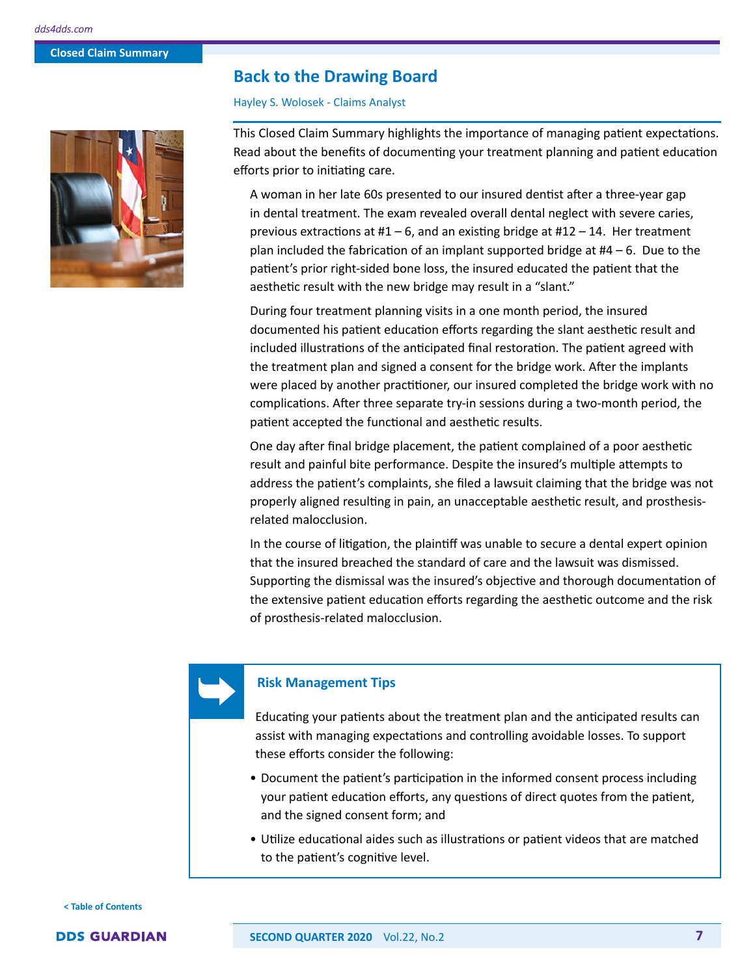#### <span id="page-6-0"></span>**Back to the Drawing Board**

#### Hayley S. Wolosek - Claims Analyst

This Closed Claim Summary highlights the importance of managing patient expectations. Read about the benefits of documenting your treatment planning and patient education efforts prior to initiating care.

A woman in her late 60s presented to our insured dentist after a three-year gap in dental treatment. The exam revealed overall dental neglect with severe caries, previous extractions at  $#1 - 6$ , and an existing bridge at  $#12 - 14$ . Her treatment plan included the fabrication of an implant supported bridge at  $#4 - 6$ . Due to the patient's prior right-sided bone loss, the insured educated the patient that the aesthetic result with the new bridge may result in a "slant."

During four treatment planning visits in a one month period, the insured documented his patient education efforts regarding the slant aesthetic result and included illustrations of the anticipated final restoration. The patient agreed with the treatment plan and signed a consent for the bridge work. After the implants were placed by another practitioner, our insured completed the bridge work with no complications. After three separate try-in sessions during a two-month period, the patient accepted the functional and aesthetic results.

One day after final bridge placement, the patient complained of a poor aesthetic result and painful bite performance. Despite the insured's multiple attempts to address the patient's complaints, she filed a lawsuit claiming that the bridge was not properly aligned resulting in pain, an unacceptable aesthetic result, and prosthesisrelated malocclusion.

In the course of litigation, the plaintiff was unable to secure a dental expert opinion that the insured breached the standard of care and the lawsuit was dismissed. Supporting the dismissal was the insured's objective and thorough documentation of the extensive patient education efforts regarding the aesthetic outcome and the risk of prosthesis-related malocclusion.



#### **Risk Management Tips**

Educating your patients about the treatment plan and the anticipated results can assist with managing expectations and controlling avoidable losses. To support these efforts consider the following:

- Document the patient's participation in the informed consent process including your patient education efforts, any questions of direct quotes from the patient, and the signed consent form; and
- Utilize educational aides such as illustrations or patient videos that are matched to the patient's cognitive level.